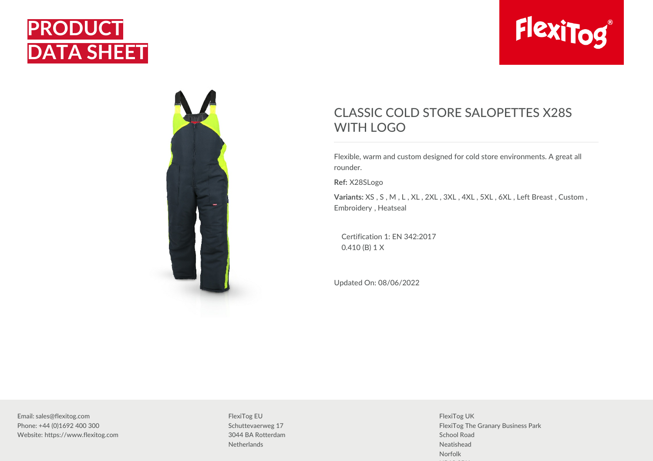## **PRODUCT DATA SHEET**





## CLASSIC COLD STORE SALOPETTES X28S WITH LOGO

Flexible, warm and custom designed for cold store environments. A great all rounder.

**Ref:** X28SLogo

**Variants:** XS , S , M , L , XL , 2XL , 3XL , 4XL , 5XL , 6XL , Left Breast , Custom , Embroidery , Heatseal

Certification 1: EN 342:2017 0.410 (B) 1 X

Updated On: 08/06/2022

Email: sales@flexitog.com Phone: +44 (0)1692 400 300 Website: https://www.flexitog.com

FlexiTog EU Schuttevaerweg 17 3044 BA Rotterdam **Netherlands** 

FlexiTog UK FlexiTog The Granary Business Park School Road Neatishead Norfolk